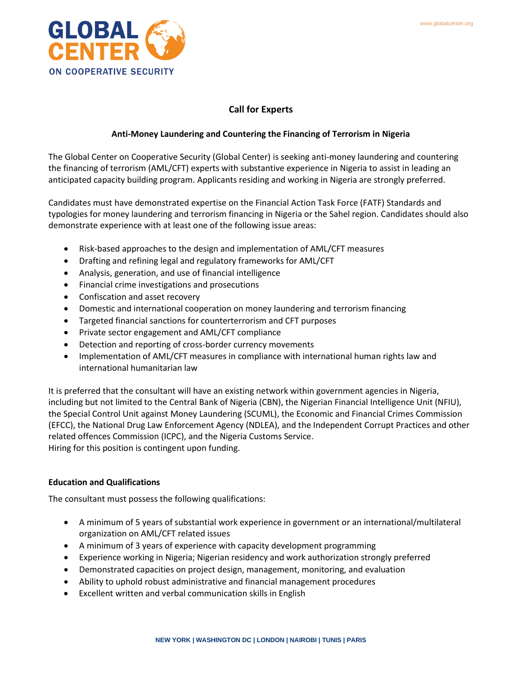

# **Call for Experts**

## **Anti-Money Laundering and Countering the Financing of Terrorism in Nigeria**

The Global Center on Cooperative Security (Global Center) is seeking anti-money laundering and countering the financing of terrorism (AML/CFT) experts with substantive experience in Nigeria to assist in leading an anticipated capacity building program. Applicants residing and working in Nigeria are strongly preferred.

Candidates must have demonstrated expertise on the Financial Action Task Force (FATF) Standards and typologies for money laundering and terrorism financing in Nigeria or the Sahel region. Candidates should also demonstrate experience with at least one of the following issue areas:

- Risk-based approaches to the design and implementation of AML/CFT measures
- Drafting and refining legal and regulatory frameworks for AML/CFT
- Analysis, generation, and use of financial intelligence
- Financial crime investigations and prosecutions
- Confiscation and asset recovery
- Domestic and international cooperation on money laundering and terrorism financing
- Targeted financial sanctions for counterterrorism and CFT purposes
- Private sector engagement and AML/CFT compliance
- Detection and reporting of cross-border currency movements
- Implementation of AML/CFT measures in compliance with international human rights law and international humanitarian law

It is preferred that the consultant will have an existing network within government agencies in Nigeria, including but not limited to the Central Bank of Nigeria (CBN), the Nigerian Financial Intelligence Unit (NFIU), the Special Control Unit against Money Laundering (SCUML), the Economic and Financial Crimes Commission (EFCC), the National Drug Law Enforcement Agency (NDLEA), and the Independent Corrupt Practices and other related offences Commission (ICPC), and the Nigeria Customs Service. Hiring for this position is contingent upon funding.

# **Education and Qualifications**

The consultant must possess the following qualifications:

- A minimum of 5 years of substantial work experience in government or an international/multilateral organization on AML/CFT related issues
- A minimum of 3 years of experience with capacity development programming
- Experience working in Nigeria; Nigerian residency and work authorization strongly preferred
- Demonstrated capacities on project design, management, monitoring, and evaluation
- Ability to uphold robust administrative and financial management procedures
- Excellent written and verbal communication skills in English